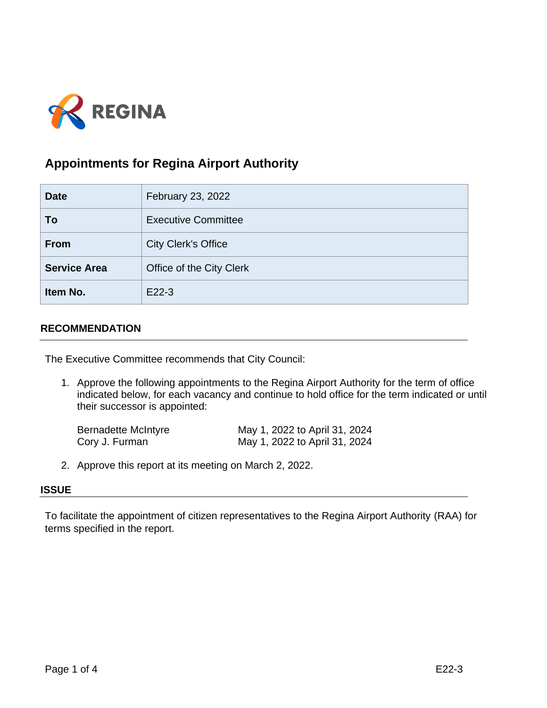

# **Appointments for Regina Airport Authority**

| <b>Date</b>         | February 23, 2022          |
|---------------------|----------------------------|
| To                  | <b>Executive Committee</b> |
| <b>From</b>         | <b>City Clerk's Office</b> |
| <b>Service Area</b> | Office of the City Clerk   |
| Item No.            | E22-3                      |

# **RECOMMENDATION**

The Executive Committee recommends that City Council:

1. Approve the following appointments to the Regina Airport Authority for the term of office indicated below, for each vacancy and continue to hold office for the term indicated or until their successor is appointed:

| <b>Bernadette McIntyre</b> | May 1, 2022 to April 31, 2024 |
|----------------------------|-------------------------------|
| Cory J. Furman             | May 1, 2022 to April 31, 2024 |

2. Approve this report at its meeting on March 2, 2022.

# **ISSUE**

To facilitate the appointment of citizen representatives to the Regina Airport Authority (RAA) for terms specified in the report.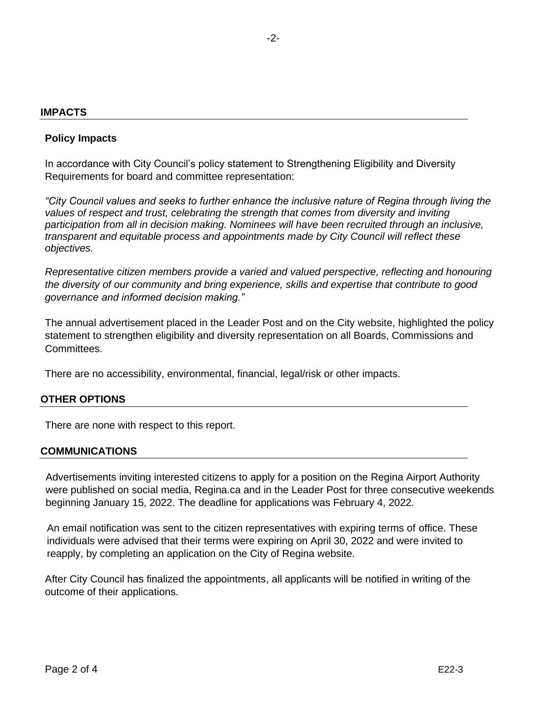#### **IMPACTS**

### **Policy Impacts**

In accordance with City Council's policy statement to Strengthening Eligibility and Diversity Requirements for board and committee representation:

*"City Council values and seeks to further enhance the inclusive nature of Regina through living the values of respect and trust, celebrating the strength that comes from diversity and inviting participation from all in decision making. Nominees will have been recruited through an inclusive, transparent and equitable process and appointments made by City Council will reflect these objectives.*

*Representative citizen members provide a varied and valued perspective, reflecting and honouring the diversity of our community and bring experience, skills and expertise that contribute to good governance and informed decision making."*

The annual advertisement placed in the Leader Post and on the City website, highlighted the policy statement to strengthen eligibility and diversity representation on all Boards, Commissions and Committees.

There are no accessibility, environmental, financial, legal/risk or other impacts.

#### **OTHER OPTIONS**

There are none with respect to this report.

#### **COMMUNICATIONS**

Advertisements inviting interested citizens to apply for a position on the Regina Airport Authority were published on social media, Regina.ca and in the Leader Post for three consecutive weekends beginning January 15, 2022. The deadline for applications was February 4, 2022.

An email notification was sent to the citizen representatives with expiring terms of office. These individuals were advised that their terms were expiring on April 30, 2022 and were invited to reapply, by completing an application on the City of Regina website.

After City Council has finalized the appointments, all applicants will be notified in writing of the outcome of their applications.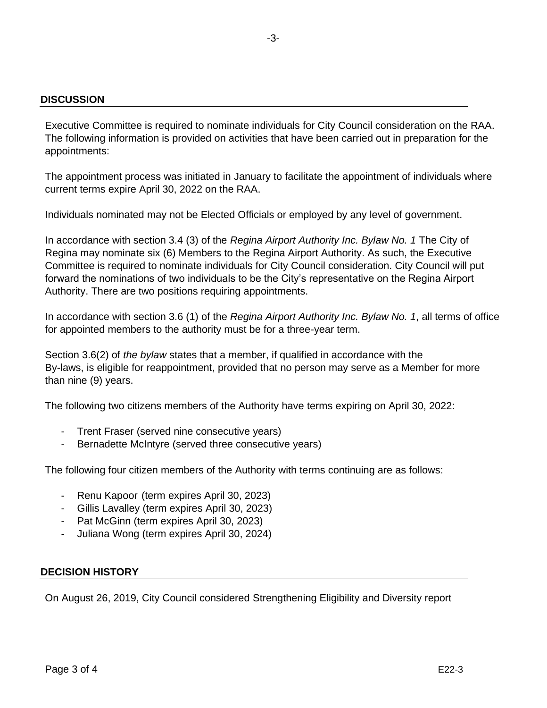# **DISCUSSION**

Executive Committee is required to nominate individuals for City Council consideration on the RAA. The following information is provided on activities that have been carried out in preparation for the appointments:

The appointment process was initiated in January to facilitate the appointment of individuals where current terms expire April 30, 2022 on the RAA.

Individuals nominated may not be Elected Officials or employed by any level of government.

In accordance with section 3.4 (3) of the *Regina Airport Authority Inc. Bylaw No. 1* The City of Regina may nominate six (6) Members to the Regina Airport Authority. As such, the Executive Committee is required to nominate individuals for City Council consideration. City Council will put forward the nominations of two individuals to be the City's representative on the Regina Airport Authority. There are two positions requiring appointments.

In accordance with section 3.6 (1) of the *Regina Airport Authority Inc. Bylaw No. 1*, all terms of office for appointed members to the authority must be for a three-year term.

Section 3.6(2) of *the bylaw* states that a member, if qualified in accordance with the By-laws, is eligible for reappointment, provided that no person may serve as a Member for more than nine (9) years.

The following two citizens members of the Authority have terms expiring on April 30, 2022:

- Trent Fraser (served nine consecutive years)
- Bernadette McIntyre (served three consecutive years)

The following four citizen members of the Authority with terms continuing are as follows:

- Renu Kapoor (term expires April 30, 2023)
- Gillis Lavalley (term expires April 30, 2023)
- Pat McGinn (term expires April 30, 2023)
- Juliana Wong (term expires April 30, 2024)

# **DECISION HISTORY**

On August 26, 2019, City Council considered Strengthening Eligibility and Diversity report